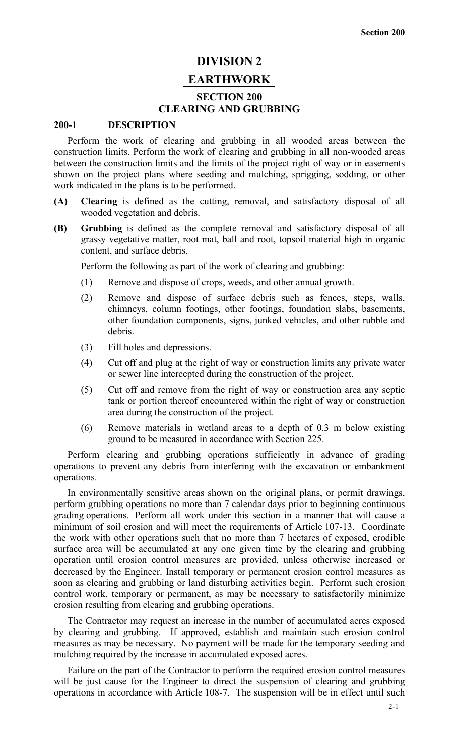# **DIVISION 2**

# **EARTHWORK**

# **SECTION 200 CLEARING AND GRUBBING**

### **200-1 DESCRIPTION**

Perform the work of clearing and grubbing in all wooded areas between the construction limits. Perform the work of clearing and grubbing in all non-wooded areas between the construction limits and the limits of the project right of way or in easements shown on the project plans where seeding and mulching, sprigging, sodding, or other work indicated in the plans is to be performed.

- **(A) Clearing** is defined as the cutting, removal, and satisfactory disposal of all wooded vegetation and debris.
- **(B) Grubbing** is defined as the complete removal and satisfactory disposal of all grassy vegetative matter, root mat, ball and root, topsoil material high in organic content, and surface debris.

Perform the following as part of the work of clearing and grubbing:

- (1) Remove and dispose of crops, weeds, and other annual growth.
- (2) Remove and dispose of surface debris such as fences, steps, walls, chimneys, column footings, other footings, foundation slabs, basements, other foundation components, signs, junked vehicles, and other rubble and debris.
- (3) Fill holes and depressions.
- (4) Cut off and plug at the right of way or construction limits any private water or sewer line intercepted during the construction of the project.
- (5) Cut off and remove from the right of way or construction area any septic tank or portion thereof encountered within the right of way or construction area during the construction of the project.
- (6) Remove materials in wetland areas to a depth of 0.3 m below existing ground to be measured in accordance with Section 225.

Perform clearing and grubbing operations sufficiently in advance of grading operations to prevent any debris from interfering with the excavation or embankment operations.

In environmentally sensitive areas shown on the original plans, or permit drawings, perform grubbing operations no more than 7 calendar days prior to beginning continuous grading operations. Perform all work under this section in a manner that will cause a minimum of soil erosion and will meet the requirements of Article 107-13. Coordinate the work with other operations such that no more than 7 hectares of exposed, erodible surface area will be accumulated at any one given time by the clearing and grubbing operation until erosion control measures are provided, unless otherwise increased or decreased by the Engineer. Install temporary or permanent erosion control measures as soon as clearing and grubbing or land disturbing activities begin. Perform such erosion control work, temporary or permanent, as may be necessary to satisfactorily minimize erosion resulting from clearing and grubbing operations.

The Contractor may request an increase in the number of accumulated acres exposed by clearing and grubbing. If approved, establish and maintain such erosion control measures as may be necessary. No payment will be made for the temporary seeding and mulching required by the increase in accumulated exposed acres.

Failure on the part of the Contractor to perform the required erosion control measures will be just cause for the Engineer to direct the suspension of clearing and grubbing operations in accordance with Article 108-7. The suspension will be in effect until such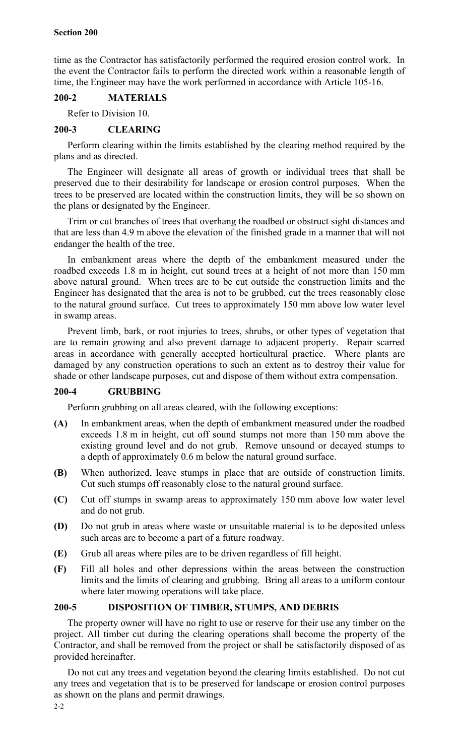time as the Contractor has satisfactorily performed the required erosion control work. In the event the Contractor fails to perform the directed work within a reasonable length of time, the Engineer may have the work performed in accordance with Article 105-16.

## **200-2 MATERIALS**

Refer to Division 10.

# **200-3 CLEARING**

Perform clearing within the limits established by the clearing method required by the plans and as directed.

The Engineer will designate all areas of growth or individual trees that shall be preserved due to their desirability for landscape or erosion control purposes. When the trees to be preserved are located within the construction limits, they will be so shown on the plans or designated by the Engineer.

Trim or cut branches of trees that overhang the roadbed or obstruct sight distances and that are less than 4.9 m above the elevation of the finished grade in a manner that will not endanger the health of the tree.

In embankment areas where the depth of the embankment measured under the roadbed exceeds 1.8 m in height, cut sound trees at a height of not more than 150 mm above natural ground. When trees are to be cut outside the construction limits and the Engineer has designated that the area is not to be grubbed, cut the trees reasonably close to the natural ground surface. Cut trees to approximately 150 mm above low water level in swamp areas.

Prevent limb, bark, or root injuries to trees, shrubs, or other types of vegetation that are to remain growing and also prevent damage to adjacent property. Repair scarred areas in accordance with generally accepted horticultural practice. Where plants are damaged by any construction operations to such an extent as to destroy their value for shade or other landscape purposes, cut and dispose of them without extra compensation.

# **200-4 GRUBBING**

Perform grubbing on all areas cleared, with the following exceptions:

- **(A)** In embankment areas, when the depth of embankment measured under the roadbed exceeds 1.8 m in height, cut off sound stumps not more than 150 mm above the existing ground level and do not grub. Remove unsound or decayed stumps to a depth of approximately 0.6 m below the natural ground surface.
- **(B)** When authorized, leave stumps in place that are outside of construction limits. Cut such stumps off reasonably close to the natural ground surface.
- **(C)** Cut off stumps in swamp areas to approximately 150 mm above low water level and do not grub.
- **(D)** Do not grub in areas where waste or unsuitable material is to be deposited unless such areas are to become a part of a future roadway.
- **(E)** Grub all areas where piles are to be driven regardless of fill height.
- **(F)** Fill all holes and other depressions within the areas between the construction limits and the limits of clearing and grubbing. Bring all areas to a uniform contour where later mowing operations will take place.

# **200-5 DISPOSITION OF TIMBER, STUMPS, AND DEBRIS**

The property owner will have no right to use or reserve for their use any timber on the project. All timber cut during the clearing operations shall become the property of the Contractor, and shall be removed from the project or shall be satisfactorily disposed of as provided hereinafter.

Do not cut any trees and vegetation beyond the clearing limits established. Do not cut any trees and vegetation that is to be preserved for landscape or erosion control purposes as shown on the plans and permit drawings.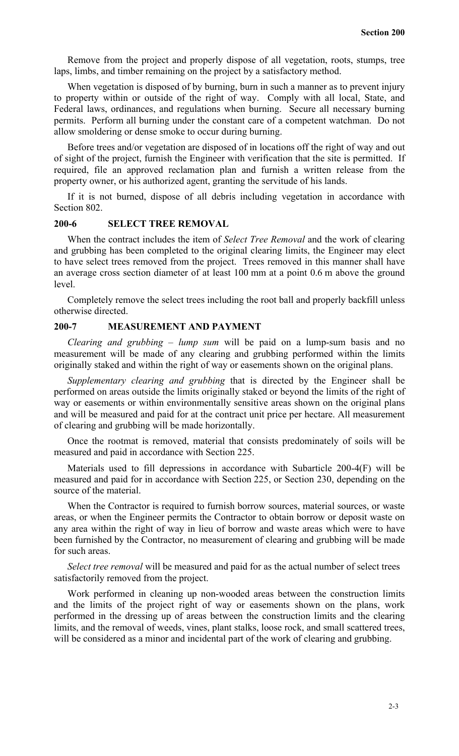Remove from the project and properly dispose of all vegetation, roots, stumps, tree laps, limbs, and timber remaining on the project by a satisfactory method.

When vegetation is disposed of by burning, burn in such a manner as to prevent injury to property within or outside of the right of way. Comply with all local, State, and Federal laws, ordinances, and regulations when burning. Secure all necessary burning permits. Perform all burning under the constant care of a competent watchman. Do not allow smoldering or dense smoke to occur during burning.

Before trees and/or vegetation are disposed of in locations off the right of way and out of sight of the project, furnish the Engineer with verification that the site is permitted. If required, file an approved reclamation plan and furnish a written release from the property owner, or his authorized agent, granting the servitude of his lands.

If it is not burned, dispose of all debris including vegetation in accordance with Section 802.

#### **200-6 SELECT TREE REMOVAL**

When the contract includes the item of *Select Tree Removal* and the work of clearing and grubbing has been completed to the original clearing limits, the Engineer may elect to have select trees removed from the project. Trees removed in this manner shall have an average cross section diameter of at least 100 mm at a point 0.6 m above the ground level.

Completely remove the select trees including the root ball and properly backfill unless otherwise directed.

# **200-7 MEASUREMENT AND PAYMENT**

*Clearing and grubbing – lump sum* will be paid on a lump-sum basis and no measurement will be made of any clearing and grubbing performed within the limits originally staked and within the right of way or easements shown on the original plans.

*Supplementary clearing and grubbing* that is directed by the Engineer shall be performed on areas outside the limits originally staked or beyond the limits of the right of way or easements or within environmentally sensitive areas shown on the original plans and will be measured and paid for at the contract unit price per hectare. All measurement of clearing and grubbing will be made horizontally.

Once the rootmat is removed, material that consists predominately of soils will be measured and paid in accordance with Section 225.

Materials used to fill depressions in accordance with Subarticle 200-4(F) will be measured and paid for in accordance with Section 225, or Section 230, depending on the source of the material.

When the Contractor is required to furnish borrow sources, material sources, or waste areas, or when the Engineer permits the Contractor to obtain borrow or deposit waste on any area within the right of way in lieu of borrow and waste areas which were to have been furnished by the Contractor, no measurement of clearing and grubbing will be made for such areas.

*Select tree removal* will be measured and paid for as the actual number of select trees satisfactorily removed from the project.

Work performed in cleaning up non-wooded areas between the construction limits and the limits of the project right of way or easements shown on the plans, work performed in the dressing up of areas between the construction limits and the clearing limits, and the removal of weeds, vines, plant stalks, loose rock, and small scattered trees, will be considered as a minor and incidental part of the work of clearing and grubbing.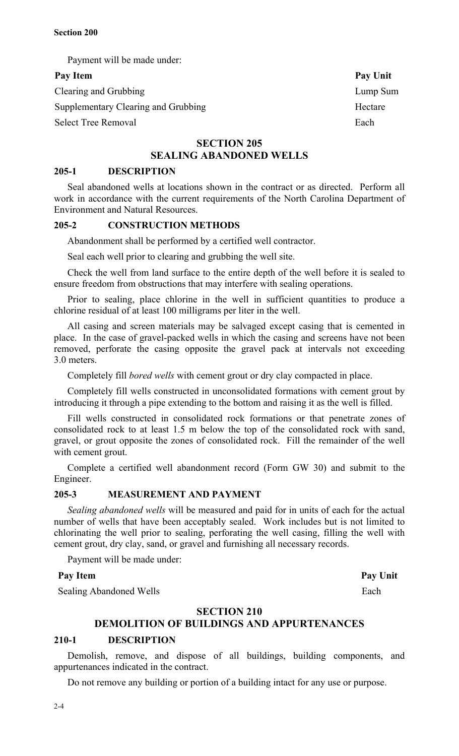Payment will be made under:

# Pay Item Pay Unit

Clearing and Grubbing Lump Sum Supplementary Clearing and Grubbing Hectare

Select Tree Removal Each

# **SECTION 205 SEALING ABANDONED WELLS**

# **205-1 DESCRIPTION**

Seal abandoned wells at locations shown in the contract or as directed. Perform all work in accordance with the current requirements of the North Carolina Department of Environment and Natural Resources.

## **205-2 CONSTRUCTION METHODS**

Abandonment shall be performed by a certified well contractor.

Seal each well prior to clearing and grubbing the well site.

Check the well from land surface to the entire depth of the well before it is sealed to ensure freedom from obstructions that may interfere with sealing operations.

Prior to sealing, place chlorine in the well in sufficient quantities to produce a chlorine residual of at least 100 milligrams per liter in the well.

All casing and screen materials may be salvaged except casing that is cemented in place. In the case of gravel-packed wells in which the casing and screens have not been removed, perforate the casing opposite the gravel pack at intervals not exceeding 3.0 meters.

Completely fill *bored wells* with cement grout or dry clay compacted in place.

Completely fill wells constructed in unconsolidated formations with cement grout by introducing it through a pipe extending to the bottom and raising it as the well is filled.

Fill wells constructed in consolidated rock formations or that penetrate zones of consolidated rock to at least 1.5 m below the top of the consolidated rock with sand, gravel, or grout opposite the zones of consolidated rock. Fill the remainder of the well with cement grout.

Complete a certified well abandonment record (Form GW 30) and submit to the Engineer.

## **205-3 MEASUREMENT AND PAYMENT**

*Sealing abandoned wells* will be measured and paid for in units of each for the actual number of wells that have been acceptably sealed. Work includes but is not limited to chlorinating the well prior to sealing, perforating the well casing, filling the well with cement grout, dry clay, sand, or gravel and furnishing all necessary records.

Payment will be made under:

# Pay Item Pay Unit

Sealing Abandoned Wells Each

# **SECTION 210**

# **DEMOLITION OF BUILDINGS AND APPURTENANCES**

#### **210-1 DESCRIPTION**

Demolish, remove, and dispose of all buildings, building components, and appurtenances indicated in the contract.

Do not remove any building or portion of a building intact for any use or purpose.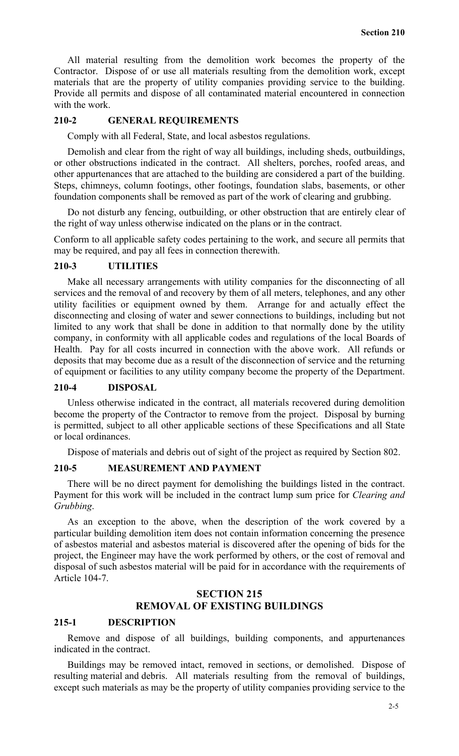All material resulting from the demolition work becomes the property of the Contractor. Dispose of or use all materials resulting from the demolition work, except materials that are the property of utility companies providing service to the building. Provide all permits and dispose of all contaminated material encountered in connection with the work.

#### **210-2 GENERAL REQUIREMENTS**

Comply with all Federal, State, and local asbestos regulations.

Demolish and clear from the right of way all buildings, including sheds, outbuildings, or other obstructions indicated in the contract. All shelters, porches, roofed areas, and other appurtenances that are attached to the building are considered a part of the building. Steps, chimneys, column footings, other footings, foundation slabs, basements, or other foundation components shall be removed as part of the work of clearing and grubbing.

Do not disturb any fencing, outbuilding, or other obstruction that are entirely clear of the right of way unless otherwise indicated on the plans or in the contract.

Conform to all applicable safety codes pertaining to the work, and secure all permits that may be required, and pay all fees in connection therewith.

# **210-3 UTILITIES**

Make all necessary arrangements with utility companies for the disconnecting of all services and the removal of and recovery by them of all meters, telephones, and any other utility facilities or equipment owned by them. Arrange for and actually effect the disconnecting and closing of water and sewer connections to buildings, including but not limited to any work that shall be done in addition to that normally done by the utility company, in conformity with all applicable codes and regulations of the local Boards of Health. Pay for all costs incurred in connection with the above work. All refunds or deposits that may become due as a result of the disconnection of service and the returning of equipment or facilities to any utility company become the property of the Department.

# **210-4 DISPOSAL**

Unless otherwise indicated in the contract, all materials recovered during demolition become the property of the Contractor to remove from the project. Disposal by burning is permitted, subject to all other applicable sections of these Specifications and all State or local ordinances.

Dispose of materials and debris out of sight of the project as required by Section 802.

## **210-5 MEASUREMENT AND PAYMENT**

There will be no direct payment for demolishing the buildings listed in the contract. Payment for this work will be included in the contract lump sum price for *Clearing and Grubbing*.

As an exception to the above, when the description of the work covered by a particular building demolition item does not contain information concerning the presence of asbestos material and asbestos material is discovered after the opening of bids for the project, the Engineer may have the work performed by others, or the cost of removal and disposal of such asbestos material will be paid for in accordance with the requirements of Article 104-7.

# **SECTION 215 REMOVAL OF EXISTING BUILDINGS**

#### **215-1 DESCRIPTION**

Remove and dispose of all buildings, building components, and appurtenances indicated in the contract.

Buildings may be removed intact, removed in sections, or demolished. Dispose of resulting material and debris. All materials resulting from the removal of buildings, except such materials as may be the property of utility companies providing service to the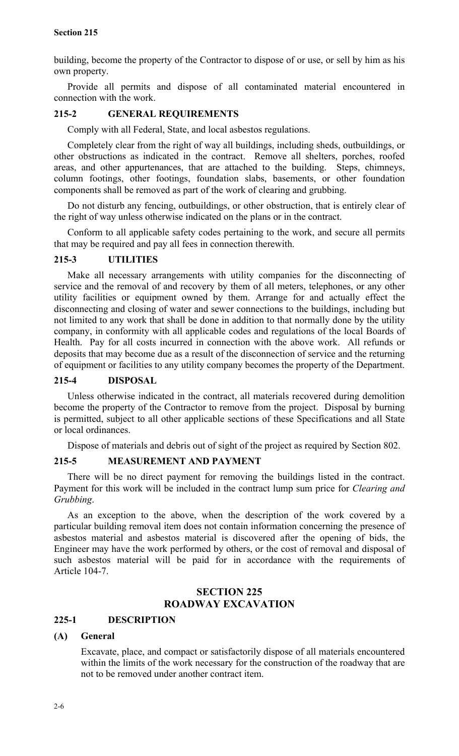building, become the property of the Contractor to dispose of or use, or sell by him as his own property.

Provide all permits and dispose of all contaminated material encountered in connection with the work.

# **215-2 GENERAL REQUIREMENTS**

Comply with all Federal, State, and local asbestos regulations.

Completely clear from the right of way all buildings, including sheds, outbuildings, or other obstructions as indicated in the contract. Remove all shelters, porches, roofed areas, and other appurtenances, that are attached to the building. Steps, chimneys, column footings, other footings, foundation slabs, basements, or other foundation components shall be removed as part of the work of clearing and grubbing.

Do not disturb any fencing, outbuildings, or other obstruction, that is entirely clear of the right of way unless otherwise indicated on the plans or in the contract.

Conform to all applicable safety codes pertaining to the work, and secure all permits that may be required and pay all fees in connection therewith.

# **215-3 UTILITIES**

Make all necessary arrangements with utility companies for the disconnecting of service and the removal of and recovery by them of all meters, telephones, or any other utility facilities or equipment owned by them. Arrange for and actually effect the disconnecting and closing of water and sewer connections to the buildings, including but not limited to any work that shall be done in addition to that normally done by the utility company, in conformity with all applicable codes and regulations of the local Boards of Health. Pay for all costs incurred in connection with the above work. All refunds or deposits that may become due as a result of the disconnection of service and the returning of equipment or facilities to any utility company becomes the property of the Department.

# **215-4 DISPOSAL**

Unless otherwise indicated in the contract, all materials recovered during demolition become the property of the Contractor to remove from the project. Disposal by burning is permitted, subject to all other applicable sections of these Specifications and all State or local ordinances.

Dispose of materials and debris out of sight of the project as required by Section 802.

# **215-5 MEASUREMENT AND PAYMENT**

There will be no direct payment for removing the buildings listed in the contract. Payment for this work will be included in the contract lump sum price for *Clearing and Grubbing*.

As an exception to the above, when the description of the work covered by a particular building removal item does not contain information concerning the presence of asbestos material and asbestos material is discovered after the opening of bids, the Engineer may have the work performed by others, or the cost of removal and disposal of such asbestos material will be paid for in accordance with the requirements of Article 104-7.

# **SECTION 225 ROADWAY EXCAVATION**

# **225-1 DESCRIPTION**

# **(A) General**

Excavate, place, and compact or satisfactorily dispose of all materials encountered within the limits of the work necessary for the construction of the roadway that are not to be removed under another contract item.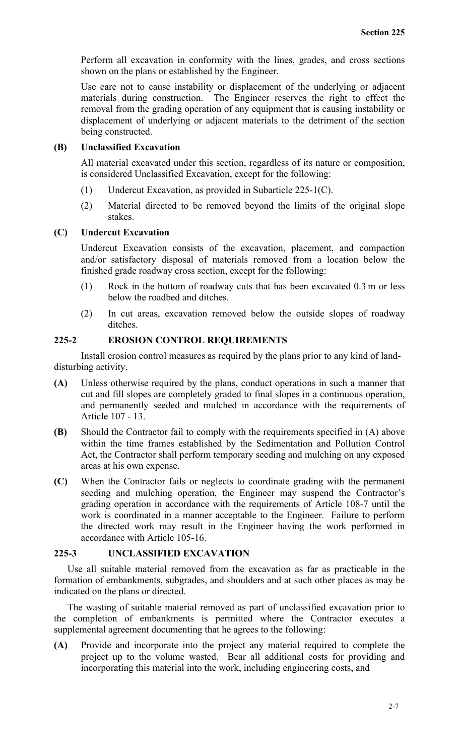Perform all excavation in conformity with the lines, grades, and cross sections shown on the plans or established by the Engineer.

Use care not to cause instability or displacement of the underlying or adjacent materials during construction. The Engineer reserves the right to effect the removal from the grading operation of any equipment that is causing instability or displacement of underlying or adjacent materials to the detriment of the section being constructed.

## **(B) Unclassified Excavation**

All material excavated under this section, regardless of its nature or composition, is considered Unclassified Excavation, except for the following:

- (1) Undercut Excavation, as provided in Subarticle 225-1(C).
- (2) Material directed to be removed beyond the limits of the original slope stakes.

## **(C) Undercut Excavation**

Undercut Excavation consists of the excavation, placement, and compaction and/or satisfactory disposal of materials removed from a location below the finished grade roadway cross section, except for the following:

- (1) Rock in the bottom of roadway cuts that has been excavated 0.3 m or less below the roadbed and ditches.
- (2) In cut areas, excavation removed below the outside slopes of roadway ditches.

# **225-2 EROSION CONTROL REQUIREMENTS**

Install erosion control measures as required by the plans prior to any kind of landdisturbing activity.

- **(A)** Unless otherwise required by the plans, conduct operations in such a manner that cut and fill slopes are completely graded to final slopes in a continuous operation, and permanently seeded and mulched in accordance with the requirements of Article 107 - 13.
- **(B)** Should the Contractor fail to comply with the requirements specified in (A) above within the time frames established by the Sedimentation and Pollution Control Act, the Contractor shall perform temporary seeding and mulching on any exposed areas at his own expense.
- **(C)** When the Contractor fails or neglects to coordinate grading with the permanent seeding and mulching operation, the Engineer may suspend the Contractor's grading operation in accordance with the requirements of Article 108-7 until the work is coordinated in a manner acceptable to the Engineer. Failure to perform the directed work may result in the Engineer having the work performed in accordance with Article 105-16.

# **225-3 UNCLASSIFIED EXCAVATION**

Use all suitable material removed from the excavation as far as practicable in the formation of embankments, subgrades, and shoulders and at such other places as may be indicated on the plans or directed.

The wasting of suitable material removed as part of unclassified excavation prior to the completion of embankments is permitted where the Contractor executes a supplemental agreement documenting that he agrees to the following:

**(A)** Provide and incorporate into the project any material required to complete the project up to the volume wasted. Bear all additional costs for providing and incorporating this material into the work, including engineering costs, and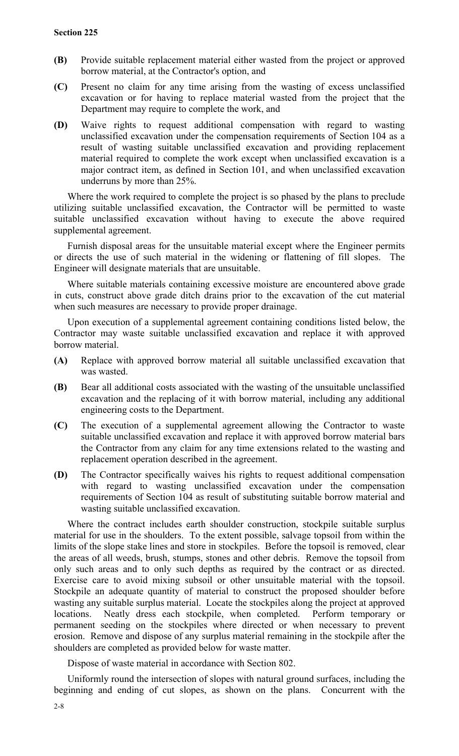- **(B)** Provide suitable replacement material either wasted from the project or approved borrow material, at the Contractor's option, and
- **(C)** Present no claim for any time arising from the wasting of excess unclassified excavation or for having to replace material wasted from the project that the Department may require to complete the work, and
- **(D)** Waive rights to request additional compensation with regard to wasting unclassified excavation under the compensation requirements of Section 104 as a result of wasting suitable unclassified excavation and providing replacement material required to complete the work except when unclassified excavation is a major contract item, as defined in Section 101, and when unclassified excavation underruns by more than 25%.

Where the work required to complete the project is so phased by the plans to preclude utilizing suitable unclassified excavation, the Contractor will be permitted to waste suitable unclassified excavation without having to execute the above required supplemental agreement.

Furnish disposal areas for the unsuitable material except where the Engineer permits or directs the use of such material in the widening or flattening of fill slopes. The Engineer will designate materials that are unsuitable.

Where suitable materials containing excessive moisture are encountered above grade in cuts, construct above grade ditch drains prior to the excavation of the cut material when such measures are necessary to provide proper drainage.

Upon execution of a supplemental agreement containing conditions listed below, the Contractor may waste suitable unclassified excavation and replace it with approved borrow material.

- **(A)** Replace with approved borrow material all suitable unclassified excavation that was wasted.
- **(B)** Bear all additional costs associated with the wasting of the unsuitable unclassified excavation and the replacing of it with borrow material, including any additional engineering costs to the Department.
- **(C)** The execution of a supplemental agreement allowing the Contractor to waste suitable unclassified excavation and replace it with approved borrow material bars the Contractor from any claim for any time extensions related to the wasting and replacement operation described in the agreement.
- **(D)** The Contractor specifically waives his rights to request additional compensation with regard to wasting unclassified excavation under the compensation requirements of Section 104 as result of substituting suitable borrow material and wasting suitable unclassified excavation.

Where the contract includes earth shoulder construction, stockpile suitable surplus material for use in the shoulders. To the extent possible, salvage topsoil from within the limits of the slope stake lines and store in stockpiles. Before the topsoil is removed, clear the areas of all weeds, brush, stumps, stones and other debris. Remove the topsoil from only such areas and to only such depths as required by the contract or as directed. Exercise care to avoid mixing subsoil or other unsuitable material with the topsoil. Stockpile an adequate quantity of material to construct the proposed shoulder before wasting any suitable surplus material. Locate the stockpiles along the project at approved locations. Neatly dress each stockpile, when completed. Perform temporary or permanent seeding on the stockpiles where directed or when necessary to prevent erosion. Remove and dispose of any surplus material remaining in the stockpile after the shoulders are completed as provided below for waste matter.

Dispose of waste material in accordance with Section 802.

Uniformly round the intersection of slopes with natural ground surfaces, including the beginning and ending of cut slopes, as shown on the plans. Concurrent with the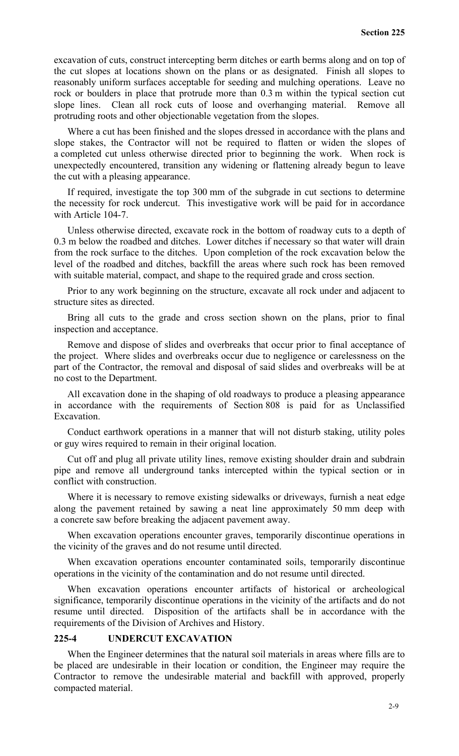excavation of cuts, construct intercepting berm ditches or earth berms along and on top of the cut slopes at locations shown on the plans or as designated. Finish all slopes to reasonably uniform surfaces acceptable for seeding and mulching operations. Leave no rock or boulders in place that protrude more than 0.3 m within the typical section cut slope lines. Clean all rock cuts of loose and overhanging material. Remove all protruding roots and other objectionable vegetation from the slopes.

Where a cut has been finished and the slopes dressed in accordance with the plans and slope stakes, the Contractor will not be required to flatten or widen the slopes of a completed cut unless otherwise directed prior to beginning the work. When rock is unexpectedly encountered, transition any widening or flattening already begun to leave the cut with a pleasing appearance.

If required, investigate the top 300 mm of the subgrade in cut sections to determine the necessity for rock undercut. This investigative work will be paid for in accordance with Article 104-7.

Unless otherwise directed, excavate rock in the bottom of roadway cuts to a depth of 0.3 m below the roadbed and ditches. Lower ditches if necessary so that water will drain from the rock surface to the ditches. Upon completion of the rock excavation below the level of the roadbed and ditches, backfill the areas where such rock has been removed with suitable material, compact, and shape to the required grade and cross section.

Prior to any work beginning on the structure, excavate all rock under and adjacent to structure sites as directed.

Bring all cuts to the grade and cross section shown on the plans, prior to final inspection and acceptance.

Remove and dispose of slides and overbreaks that occur prior to final acceptance of the project. Where slides and overbreaks occur due to negligence or carelessness on the part of the Contractor, the removal and disposal of said slides and overbreaks will be at no cost to the Department.

All excavation done in the shaping of old roadways to produce a pleasing appearance in accordance with the requirements of Section 808 is paid for as Unclassified Excavation.

Conduct earthwork operations in a manner that will not disturb staking, utility poles or guy wires required to remain in their original location.

Cut off and plug all private utility lines, remove existing shoulder drain and subdrain pipe and remove all underground tanks intercepted within the typical section or in conflict with construction.

Where it is necessary to remove existing sidewalks or driveways, furnish a neat edge along the pavement retained by sawing a neat line approximately 50 mm deep with a concrete saw before breaking the adjacent pavement away.

When excavation operations encounter graves, temporarily discontinue operations in the vicinity of the graves and do not resume until directed.

When excavation operations encounter contaminated soils, temporarily discontinue operations in the vicinity of the contamination and do not resume until directed.

When excavation operations encounter artifacts of historical or archeological significance, temporarily discontinue operations in the vicinity of the artifacts and do not resume until directed. Disposition of the artifacts shall be in accordance with the requirements of the Division of Archives and History.

# **225-4 UNDERCUT EXCAVATION**

When the Engineer determines that the natural soil materials in areas where fills are to be placed are undesirable in their location or condition, the Engineer may require the Contractor to remove the undesirable material and backfill with approved, properly compacted material.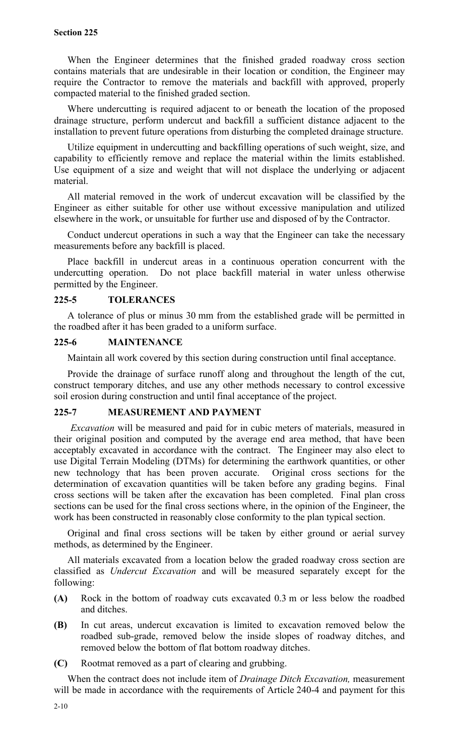When the Engineer determines that the finished graded roadway cross section contains materials that are undesirable in their location or condition, the Engineer may require the Contractor to remove the materials and backfill with approved, properly compacted material to the finished graded section.

Where undercutting is required adjacent to or beneath the location of the proposed drainage structure, perform undercut and backfill a sufficient distance adjacent to the installation to prevent future operations from disturbing the completed drainage structure.

Utilize equipment in undercutting and backfilling operations of such weight, size, and capability to efficiently remove and replace the material within the limits established. Use equipment of a size and weight that will not displace the underlying or adjacent material.

All material removed in the work of undercut excavation will be classified by the Engineer as either suitable for other use without excessive manipulation and utilized elsewhere in the work, or unsuitable for further use and disposed of by the Contractor.

Conduct undercut operations in such a way that the Engineer can take the necessary measurements before any backfill is placed.

Place backfill in undercut areas in a continuous operation concurrent with the undercutting operation. Do not place backfill material in water unless otherwise permitted by the Engineer.

## **225-5 TOLERANCES**

A tolerance of plus or minus 30 mm from the established grade will be permitted in the roadbed after it has been graded to a uniform surface.

#### **225-6 MAINTENANCE**

Maintain all work covered by this section during construction until final acceptance.

Provide the drainage of surface runoff along and throughout the length of the cut, construct temporary ditches, and use any other methods necessary to control excessive soil erosion during construction and until final acceptance of the project.

# **225-7 MEASUREMENT AND PAYMENT**

 *Excavation* will be measured and paid for in cubic meters of materials, measured in their original position and computed by the average end area method, that have been acceptably excavated in accordance with the contract. The Engineer may also elect to use Digital Terrain Modeling (DTMs) for determining the earthwork quantities, or other new technology that has been proven accurate. Original cross sections for the determination of excavation quantities will be taken before any grading begins. Final cross sections will be taken after the excavation has been completed. Final plan cross sections can be used for the final cross sections where, in the opinion of the Engineer, the work has been constructed in reasonably close conformity to the plan typical section.

Original and final cross sections will be taken by either ground or aerial survey methods, as determined by the Engineer.

All materials excavated from a location below the graded roadway cross section are classified as *Undercut Excavation* and will be measured separately except for the following:

- **(A)** Rock in the bottom of roadway cuts excavated 0.3 m or less below the roadbed and ditches.
- **(B)** In cut areas, undercut excavation is limited to excavation removed below the roadbed sub-grade, removed below the inside slopes of roadway ditches, and removed below the bottom of flat bottom roadway ditches.
- **(C)** Rootmat removed as a part of clearing and grubbing.

When the contract does not include item of *Drainage Ditch Excavation,* measurement will be made in accordance with the requirements of Article 240-4 and payment for this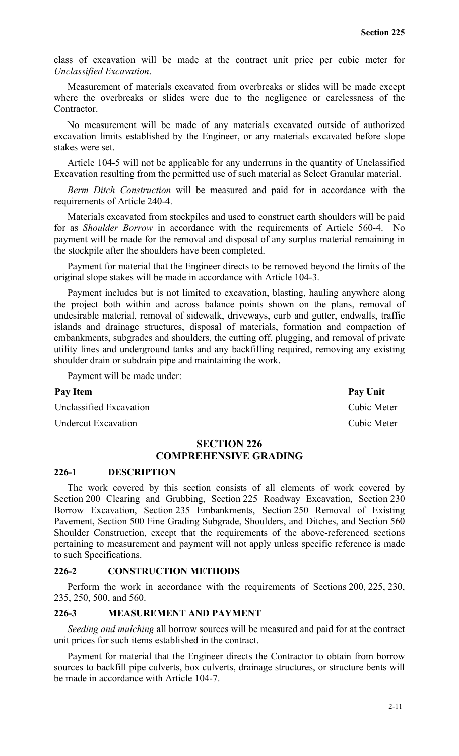class of excavation will be made at the contract unit price per cubic meter for *Unclassified Excavation*.

Measurement of materials excavated from overbreaks or slides will be made except where the overbreaks or slides were due to the negligence or carelessness of the Contractor.

No measurement will be made of any materials excavated outside of authorized excavation limits established by the Engineer, or any materials excavated before slope stakes were set.

Article 104-5 will not be applicable for any underruns in the quantity of Unclassified Excavation resulting from the permitted use of such material as Select Granular material.

*Berm Ditch Construction* will be measured and paid for in accordance with the requirements of Article 240-4.

Materials excavated from stockpiles and used to construct earth shoulders will be paid for as *Shoulder Borrow* in accordance with the requirements of Article 560-4. No payment will be made for the removal and disposal of any surplus material remaining in the stockpile after the shoulders have been completed.

Payment for material that the Engineer directs to be removed beyond the limits of the original slope stakes will be made in accordance with Article 104-3.

Payment includes but is not limited to excavation, blasting, hauling anywhere along the project both within and across balance points shown on the plans, removal of undesirable material, removal of sidewalk, driveways, curb and gutter, endwalls, traffic islands and drainage structures, disposal of materials, formation and compaction of embankments, subgrades and shoulders, the cutting off, plugging, and removal of private utility lines and underground tanks and any backfilling required, removing any existing shoulder drain or subdrain pipe and maintaining the work.

Payment will be made under:

Unclassified Excavation Cubic Meter

Undercut Excavation Cubic Meter

# **SECTION 226 COMPREHENSIVE GRADING**

#### **226-1 DESCRIPTION**

The work covered by this section consists of all elements of work covered by Section 200 Clearing and Grubbing, Section 225 Roadway Excavation, Section 230 Borrow Excavation, Section 235 Embankments, Section 250 Removal of Existing Pavement, Section 500 Fine Grading Subgrade, Shoulders, and Ditches, and Section 560 Shoulder Construction, except that the requirements of the above-referenced sections pertaining to measurement and payment will not apply unless specific reference is made to such Specifications.

## **226-2 CONSTRUCTION METHODS**

Perform the work in accordance with the requirements of Sections 200, 225, 230, 235, 250, 500, and 560.

## **226-3 MEASUREMENT AND PAYMENT**

*Seeding and mulching* all borrow sources will be measured and paid for at the contract unit prices for such items established in the contract.

Payment for material that the Engineer directs the Contractor to obtain from borrow sources to backfill pipe culverts, box culverts, drainage structures, or structure bents will be made in accordance with Article 104-7.

Pay Item Pay Unit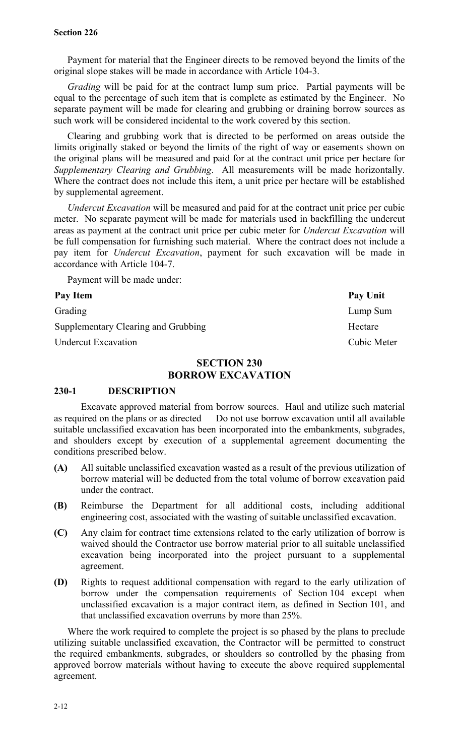Payment for material that the Engineer directs to be removed beyond the limits of the original slope stakes will be made in accordance with Article 104-3.

*Grading* will be paid for at the contract lump sum price. Partial payments will be equal to the percentage of such item that is complete as estimated by the Engineer. No separate payment will be made for clearing and grubbing or draining borrow sources as such work will be considered incidental to the work covered by this section.

Clearing and grubbing work that is directed to be performed on areas outside the limits originally staked or beyond the limits of the right of way or easements shown on the original plans will be measured and paid for at the contract unit price per hectare for *Supplementary Clearing and Grubbing*. All measurements will be made horizontally. Where the contract does not include this item, a unit price per hectare will be established by supplemental agreement.

*Undercut Excavation* will be measured and paid for at the contract unit price per cubic meter. No separate payment will be made for materials used in backfilling the undercut areas as payment at the contract unit price per cubic meter for *Undercut Excavation* will be full compensation for furnishing such material. Where the contract does not include a pay item for *Undercut Excavation*, payment for such excavation will be made in accordance with Article 104-7.

Payment will be made under:

Grading Lump Sum Supplementary Clearing and Grubbing Hectare Hectare Undercut Excavation Cubic Meter

# **SECTION 230 BORROW EXCAVATION**

# **230-1 DESCRIPTION**

Excavate approved material from borrow sources. Haul and utilize such material as required on the plans or as directed Do not use borrow excavation until all available suitable unclassified excavation has been incorporated into the embankments, subgrades, and shoulders except by execution of a supplemental agreement documenting the conditions prescribed below.

- **(A)** All suitable unclassified excavation wasted as a result of the previous utilization of borrow material will be deducted from the total volume of borrow excavation paid under the contract.
- **(B)** Reimburse the Department for all additional costs, including additional engineering cost, associated with the wasting of suitable unclassified excavation.
- **(C)** Any claim for contract time extensions related to the early utilization of borrow is waived should the Contractor use borrow material prior to all suitable unclassified excavation being incorporated into the project pursuant to a supplemental agreement.
- **(D)** Rights to request additional compensation with regard to the early utilization of borrow under the compensation requirements of Section 104 except when unclassified excavation is a major contract item, as defined in Section 101, and that unclassified excavation overruns by more than 25%.

Where the work required to complete the project is so phased by the plans to preclude utilizing suitable unclassified excavation, the Contractor will be permitted to construct the required embankments, subgrades, or shoulders so controlled by the phasing from approved borrow materials without having to execute the above required supplemental agreement.

Pay Item Pay Unit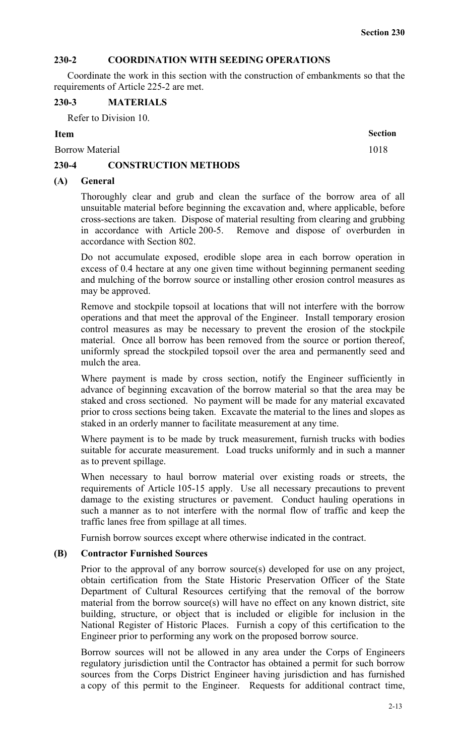# **230-2 COORDINATION WITH SEEDING OPERATIONS**

Coordinate the work in this section with the construction of embankments so that the requirements of Article 225-2 are met.

#### **230-3 MATERIALS**

Refer to Division 10.

## **Item Section**

Borrow Material 1018

# **230-4 CONSTRUCTION METHODS**

## **(A) General**

Thoroughly clear and grub and clean the surface of the borrow area of all unsuitable material before beginning the excavation and, where applicable, before cross-sections are taken. Dispose of material resulting from clearing and grubbing in accordance with Article 200-5. Remove and dispose of overburden in accordance with Section 802.

Do not accumulate exposed, erodible slope area in each borrow operation in excess of 0.4 hectare at any one given time without beginning permanent seeding and mulching of the borrow source or installing other erosion control measures as may be approved.

Remove and stockpile topsoil at locations that will not interfere with the borrow operations and that meet the approval of the Engineer. Install temporary erosion control measures as may be necessary to prevent the erosion of the stockpile material. Once all borrow has been removed from the source or portion thereof, uniformly spread the stockpiled topsoil over the area and permanently seed and mulch the area.

Where payment is made by cross section, notify the Engineer sufficiently in advance of beginning excavation of the borrow material so that the area may be staked and cross sectioned. No payment will be made for any material excavated prior to cross sections being taken. Excavate the material to the lines and slopes as staked in an orderly manner to facilitate measurement at any time.

Where payment is to be made by truck measurement, furnish trucks with bodies suitable for accurate measurement. Load trucks uniformly and in such a manner as to prevent spillage.

When necessary to haul borrow material over existing roads or streets, the requirements of Article 105-15 apply. Use all necessary precautions to prevent damage to the existing structures or pavement. Conduct hauling operations in such a manner as to not interfere with the normal flow of traffic and keep the traffic lanes free from spillage at all times.

Furnish borrow sources except where otherwise indicated in the contract.

### **(B) Contractor Furnished Sources**

Prior to the approval of any borrow source(s) developed for use on any project, obtain certification from the State Historic Preservation Officer of the State Department of Cultural Resources certifying that the removal of the borrow material from the borrow source(s) will have no effect on any known district, site building, structure, or object that is included or eligible for inclusion in the National Register of Historic Places. Furnish a copy of this certification to the Engineer prior to performing any work on the proposed borrow source.

Borrow sources will not be allowed in any area under the Corps of Engineers regulatory jurisdiction until the Contractor has obtained a permit for such borrow sources from the Corps District Engineer having jurisdiction and has furnished a copy of this permit to the Engineer. Requests for additional contract time,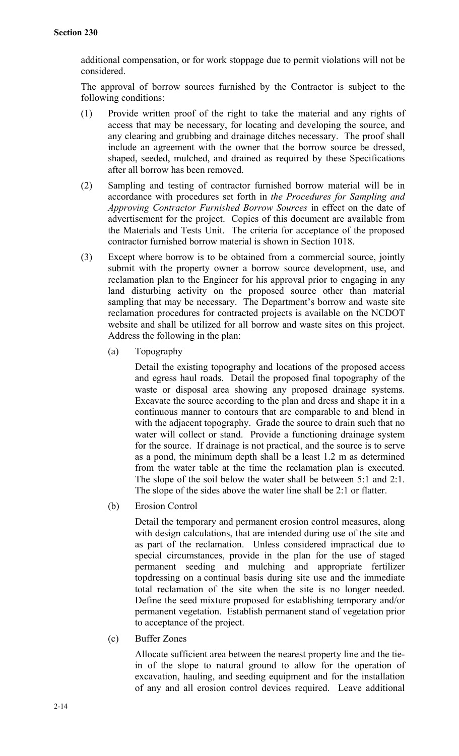additional compensation, or for work stoppage due to permit violations will not be considered.

The approval of borrow sources furnished by the Contractor is subject to the following conditions:

- (1) Provide written proof of the right to take the material and any rights of access that may be necessary, for locating and developing the source, and any clearing and grubbing and drainage ditches necessary. The proof shall include an agreement with the owner that the borrow source be dressed, shaped, seeded, mulched, and drained as required by these Specifications after all borrow has been removed.
- (2) Sampling and testing of contractor furnished borrow material will be in accordance with procedures set forth in *the Procedures for Sampling and Approving Contractor Furnished Borrow Sources* in effect on the date of advertisement for the project. Copies of this document are available from the Materials and Tests Unit. The criteria for acceptance of the proposed contractor furnished borrow material is shown in Section 1018.
- (3) Except where borrow is to be obtained from a commercial source, jointly submit with the property owner a borrow source development, use, and reclamation plan to the Engineer for his approval prior to engaging in any land disturbing activity on the proposed source other than material sampling that may be necessary. The Department's borrow and waste site reclamation procedures for contracted projects is available on the NCDOT website and shall be utilized for all borrow and waste sites on this project. Address the following in the plan:
	- (a) Topography

Detail the existing topography and locations of the proposed access and egress haul roads. Detail the proposed final topography of the waste or disposal area showing any proposed drainage systems. Excavate the source according to the plan and dress and shape it in a continuous manner to contours that are comparable to and blend in with the adjacent topography. Grade the source to drain such that no water will collect or stand. Provide a functioning drainage system for the source. If drainage is not practical, and the source is to serve as a pond, the minimum depth shall be a least 1.2 m as determined from the water table at the time the reclamation plan is executed. The slope of the soil below the water shall be between 5:1 and 2:1. The slope of the sides above the water line shall be 2:1 or flatter.

(b) Erosion Control

Detail the temporary and permanent erosion control measures, along with design calculations, that are intended during use of the site and as part of the reclamation. Unless considered impractical due to special circumstances, provide in the plan for the use of staged permanent seeding and mulching and appropriate fertilizer topdressing on a continual basis during site use and the immediate total reclamation of the site when the site is no longer needed. Define the seed mixture proposed for establishing temporary and/or permanent vegetation. Establish permanent stand of vegetation prior to acceptance of the project.

(c) Buffer Zones

Allocate sufficient area between the nearest property line and the tiein of the slope to natural ground to allow for the operation of excavation, hauling, and seeding equipment and for the installation of any and all erosion control devices required. Leave additional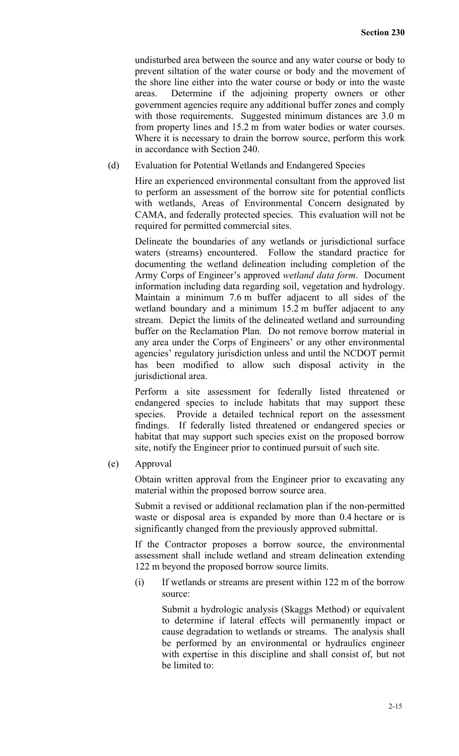undisturbed area between the source and any water course or body to prevent siltation of the water course or body and the movement of the shore line either into the water course or body or into the waste areas. Determine if the adjoining property owners or other government agencies require any additional buffer zones and comply with those requirements. Suggested minimum distances are 3.0 m from property lines and 15.2 m from water bodies or water courses. Where it is necessary to drain the borrow source, perform this work in accordance with Section 240.

(d) Evaluation for Potential Wetlands and Endangered Species

Hire an experienced environmental consultant from the approved list to perform an assessment of the borrow site for potential conflicts with wetlands, Areas of Environmental Concern designated by CAMA, and federally protected species. This evaluation will not be required for permitted commercial sites.

Delineate the boundaries of any wetlands or jurisdictional surface waters (streams) encountered. Follow the standard practice for documenting the wetland delineation including completion of the Army Corps of Engineer's approved *wetland data form*. Document information including data regarding soil, vegetation and hydrology. Maintain a minimum 7.6 m buffer adjacent to all sides of the wetland boundary and a minimum 15.2 m buffer adjacent to any stream. Depict the limits of the delineated wetland and surrounding buffer on the Reclamation Plan. Do not remove borrow material in any area under the Corps of Engineers' or any other environmental agencies' regulatory jurisdiction unless and until the NCDOT permit has been modified to allow such disposal activity in the jurisdictional area.

Perform a site assessment for federally listed threatened or endangered species to include habitats that may support these species. Provide a detailed technical report on the assessment findings. If federally listed threatened or endangered species or habitat that may support such species exist on the proposed borrow site, notify the Engineer prior to continued pursuit of such site.

(e) Approval

Obtain written approval from the Engineer prior to excavating any material within the proposed borrow source area.

Submit a revised or additional reclamation plan if the non-permitted waste or disposal area is expanded by more than 0.4 hectare or is significantly changed from the previously approved submittal.

If the Contractor proposes a borrow source, the environmental assessment shall include wetland and stream delineation extending 122 m beyond the proposed borrow source limits.

(i) If wetlands or streams are present within 122 m of the borrow source:

> Submit a hydrologic analysis (Skaggs Method) or equivalent to determine if lateral effects will permanently impact or cause degradation to wetlands or streams. The analysis shall be performed by an environmental or hydraulics engineer with expertise in this discipline and shall consist of, but not be limited to: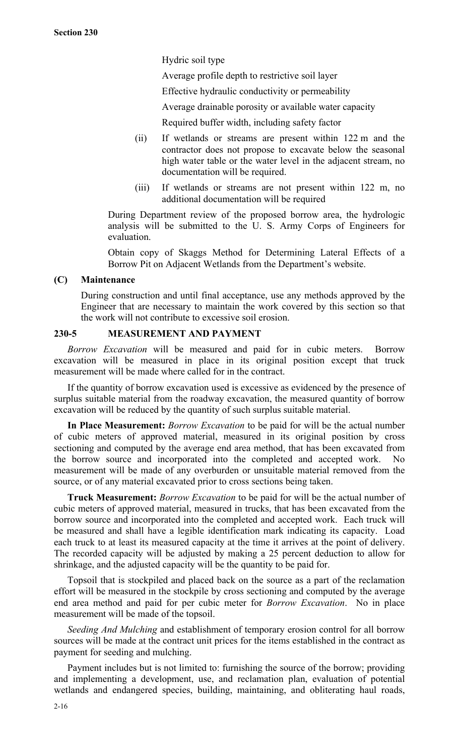Hydric soil type

Average profile depth to restrictive soil layer

Effective hydraulic conductivity or permeability

Average drainable porosity or available water capacity

Required buffer width, including safety factor

- (ii) If wetlands or streams are present within 122 m and the contractor does not propose to excavate below the seasonal high water table or the water level in the adjacent stream, no documentation will be required.
- (iii) If wetlands or streams are not present within 122 m, no additional documentation will be required

During Department review of the proposed borrow area, the hydrologic analysis will be submitted to the U. S. Army Corps of Engineers for evaluation.

Obtain copy of Skaggs Method for Determining Lateral Effects of a Borrow Pit on Adjacent Wetlands from the Department's website.

# **(C) Maintenance**

During construction and until final acceptance, use any methods approved by the Engineer that are necessary to maintain the work covered by this section so that the work will not contribute to excessive soil erosion.

# **230-5 MEASUREMENT AND PAYMENT**

*Borrow Excavation* will be measured and paid for in cubic meters. Borrow excavation will be measured in place in its original position except that truck measurement will be made where called for in the contract.

If the quantity of borrow excavation used is excessive as evidenced by the presence of surplus suitable material from the roadway excavation, the measured quantity of borrow excavation will be reduced by the quantity of such surplus suitable material.

**In Place Measurement:** *Borrow Excavation* to be paid for will be the actual number of cubic meters of approved material, measured in its original position by cross sectioning and computed by the average end area method, that has been excavated from the borrow source and incorporated into the completed and accepted work. No measurement will be made of any overburden or unsuitable material removed from the source, or of any material excavated prior to cross sections being taken.

**Truck Measurement:** *Borrow Excavation* to be paid for will be the actual number of cubic meters of approved material, measured in trucks, that has been excavated from the borrow source and incorporated into the completed and accepted work. Each truck will be measured and shall have a legible identification mark indicating its capacity. Load each truck to at least its measured capacity at the time it arrives at the point of delivery. The recorded capacity will be adjusted by making a 25 percent deduction to allow for shrinkage, and the adjusted capacity will be the quantity to be paid for.

Topsoil that is stockpiled and placed back on the source as a part of the reclamation effort will be measured in the stockpile by cross sectioning and computed by the average end area method and paid for per cubic meter for *Borrow Excavation*. No in place measurement will be made of the topsoil.

*Seeding And Mulching* and establishment of temporary erosion control for all borrow sources will be made at the contract unit prices for the items established in the contract as payment for seeding and mulching.

Payment includes but is not limited to: furnishing the source of the borrow; providing and implementing a development, use, and reclamation plan, evaluation of potential wetlands and endangered species, building, maintaining, and obliterating haul roads,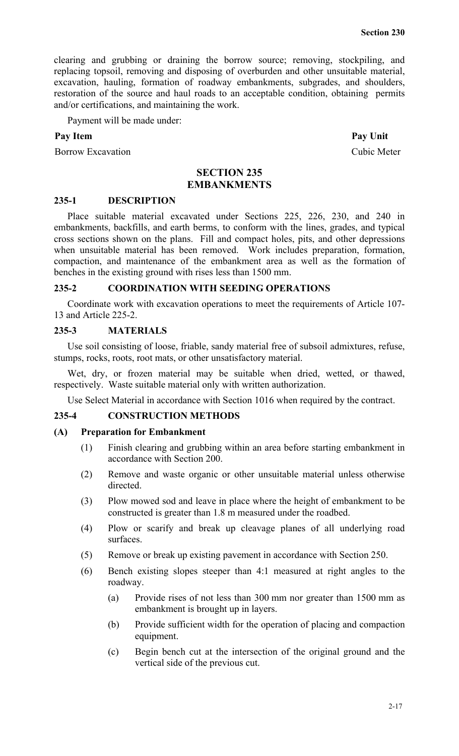clearing and grubbing or draining the borrow source; removing, stockpiling, and replacing topsoil, removing and disposing of overburden and other unsuitable material, excavation, hauling, formation of roadway embankments, subgrades, and shoulders, restoration of the source and haul roads to an acceptable condition, obtaining permits and/or certifications, and maintaining the work.

Payment will be made under:

#### Pay Item **Pay Unit**

Borrow Excavation Cubic Meter

## **SECTION 235 EMBANKMENTS**

#### **235-1 DESCRIPTION**

Place suitable material excavated under Sections 225, 226, 230, and 240 in embankments, backfills, and earth berms, to conform with the lines, grades, and typical cross sections shown on the plans. Fill and compact holes, pits, and other depressions when unsuitable material has been removed. Work includes preparation, formation, compaction, and maintenance of the embankment area as well as the formation of benches in the existing ground with rises less than 1500 mm.

#### **235-2 COORDINATION WITH SEEDING OPERATIONS**

Coordinate work with excavation operations to meet the requirements of Article 107- 13 and Article 225-2.

### **235-3 MATERIALS**

Use soil consisting of loose, friable, sandy material free of subsoil admixtures, refuse, stumps, rocks, roots, root mats, or other unsatisfactory material.

Wet, dry, or frozen material may be suitable when dried, wetted, or thawed, respectively. Waste suitable material only with written authorization.

Use Select Material in accordance with Section 1016 when required by the contract.

### **235-4 CONSTRUCTION METHODS**

#### **(A) Preparation for Embankment**

- (1) Finish clearing and grubbing within an area before starting embankment in accordance with Section 200.
- (2) Remove and waste organic or other unsuitable material unless otherwise directed.
- (3) Plow mowed sod and leave in place where the height of embankment to be constructed is greater than 1.8 m measured under the roadbed.
- (4) Plow or scarify and break up cleavage planes of all underlying road surfaces.
- (5) Remove or break up existing pavement in accordance with Section 250.
- (6) Bench existing slopes steeper than 4:1 measured at right angles to the roadway.
	- (a) Provide rises of not less than 300 mm nor greater than 1500 mm as embankment is brought up in layers.
	- (b) Provide sufficient width for the operation of placing and compaction equipment.
	- (c) Begin bench cut at the intersection of the original ground and the vertical side of the previous cut.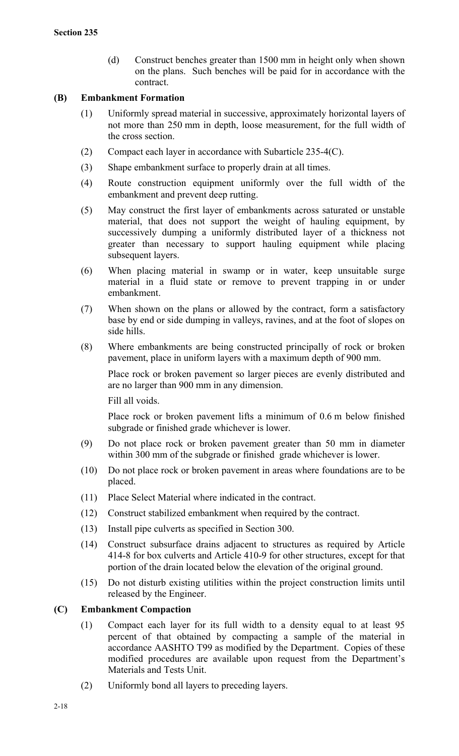(d) Construct benches greater than 1500 mm in height only when shown on the plans. Such benches will be paid for in accordance with the contract.

# **(B) Embankment Formation**

- (1) Uniformly spread material in successive, approximately horizontal layers of not more than 250 mm in depth, loose measurement, for the full width of the cross section.
- (2) Compact each layer in accordance with Subarticle 235-4(C).
- (3) Shape embankment surface to properly drain at all times.
- (4) Route construction equipment uniformly over the full width of the embankment and prevent deep rutting.
- (5) May construct the first layer of embankments across saturated or unstable material, that does not support the weight of hauling equipment, by successively dumping a uniformly distributed layer of a thickness not greater than necessary to support hauling equipment while placing subsequent layers.
- (6) When placing material in swamp or in water, keep unsuitable surge material in a fluid state or remove to prevent trapping in or under embankment.
- (7) When shown on the plans or allowed by the contract, form a satisfactory base by end or side dumping in valleys, ravines, and at the foot of slopes on side hills.
- (8) Where embankments are being constructed principally of rock or broken pavement, place in uniform layers with a maximum depth of 900 mm.

Place rock or broken pavement so larger pieces are evenly distributed and are no larger than 900 mm in any dimension.

Fill all voids.

Place rock or broken pavement lifts a minimum of 0.6 m below finished subgrade or finished grade whichever is lower.

- (9) Do not place rock or broken pavement greater than 50 mm in diameter within 300 mm of the subgrade or finished grade whichever is lower.
- (10) Do not place rock or broken pavement in areas where foundations are to be placed.
- (11) Place Select Material where indicated in the contract.
- (12) Construct stabilized embankment when required by the contract.
- (13) Install pipe culverts as specified in Section 300.
- (14) Construct subsurface drains adjacent to structures as required by Article 414-8 for box culverts and Article 410-9 for other structures, except for that portion of the drain located below the elevation of the original ground.
- (15) Do not disturb existing utilities within the project construction limits until released by the Engineer.

# **(C) Embankment Compaction**

- (1) Compact each layer for its full width to a density equal to at least 95 percent of that obtained by compacting a sample of the material in accordance AASHTO T99 as modified by the Department. Copies of these modified procedures are available upon request from the Department's Materials and Tests Unit.
- (2) Uniformly bond all layers to preceding layers.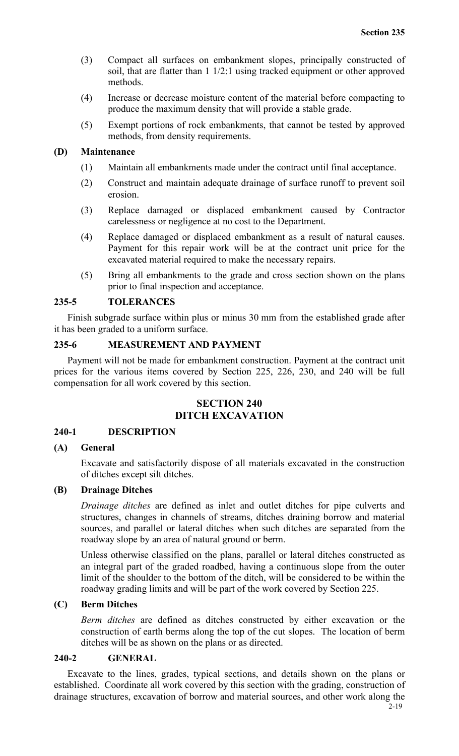- (3) Compact all surfaces on embankment slopes, principally constructed of soil, that are flatter than 1 1/2:1 using tracked equipment or other approved methods.
- (4) Increase or decrease moisture content of the material before compacting to produce the maximum density that will provide a stable grade.
- (5) Exempt portions of rock embankments, that cannot be tested by approved methods, from density requirements.

#### **(D) Maintenance**

- (1) Maintain all embankments made under the contract until final acceptance.
- (2) Construct and maintain adequate drainage of surface runoff to prevent soil erosion.
- (3) Replace damaged or displaced embankment caused by Contractor carelessness or negligence at no cost to the Department.
- (4) Replace damaged or displaced embankment as a result of natural causes. Payment for this repair work will be at the contract unit price for the excavated material required to make the necessary repairs.
- (5) Bring all embankments to the grade and cross section shown on the plans prior to final inspection and acceptance.

## **235-5 TOLERANCES**

Finish subgrade surface within plus or minus 30 mm from the established grade after it has been graded to a uniform surface.

# **235-6 MEASUREMENT AND PAYMENT**

Payment will not be made for embankment construction. Payment at the contract unit prices for the various items covered by Section 225, 226, 230, and 240 will be full compensation for all work covered by this section.

# **SECTION 240 DITCH EXCAVATION**

#### **240-1 DESCRIPTION**

## **(A) General**

Excavate and satisfactorily dispose of all materials excavated in the construction of ditches except silt ditches.

## **(B) Drainage Ditches**

*Drainage ditches* are defined as inlet and outlet ditches for pipe culverts and structures, changes in channels of streams, ditches draining borrow and material sources, and parallel or lateral ditches when such ditches are separated from the roadway slope by an area of natural ground or berm.

Unless otherwise classified on the plans, parallel or lateral ditches constructed as an integral part of the graded roadbed, having a continuous slope from the outer limit of the shoulder to the bottom of the ditch, will be considered to be within the roadway grading limits and will be part of the work covered by Section 225.

#### **(C) Berm Ditches**

*Berm ditches* are defined as ditches constructed by either excavation or the construction of earth berms along the top of the cut slopes. The location of berm ditches will be as shown on the plans or as directed.

#### **240-2 GENERAL**

Excavate to the lines, grades, typical sections, and details shown on the plans or established. Coordinate all work covered by this section with the grading, construction of drainage structures, excavation of borrow and material sources, and other work along the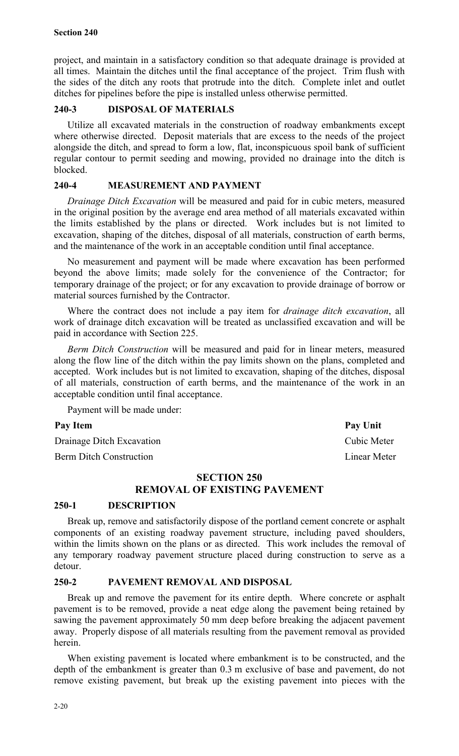project, and maintain in a satisfactory condition so that adequate drainage is provided at all times. Maintain the ditches until the final acceptance of the project. Trim flush with the sides of the ditch any roots that protrude into the ditch. Complete inlet and outlet ditches for pipelines before the pipe is installed unless otherwise permitted.

# **240-3 DISPOSAL OF MATERIALS**

Utilize all excavated materials in the construction of roadway embankments except where otherwise directed. Deposit materials that are excess to the needs of the project alongside the ditch, and spread to form a low, flat, inconspicuous spoil bank of sufficient regular contour to permit seeding and mowing, provided no drainage into the ditch is blocked.

# **240-4 MEASUREMENT AND PAYMENT**

*Drainage Ditch Excavation* will be measured and paid for in cubic meters, measured in the original position by the average end area method of all materials excavated within the limits established by the plans or directed. Work includes but is not limited to excavation, shaping of the ditches, disposal of all materials, construction of earth berms, and the maintenance of the work in an acceptable condition until final acceptance.

No measurement and payment will be made where excavation has been performed beyond the above limits; made solely for the convenience of the Contractor; for temporary drainage of the project; or for any excavation to provide drainage of borrow or material sources furnished by the Contractor.

Where the contract does not include a pay item for *drainage ditch excavation*, all work of drainage ditch excavation will be treated as unclassified excavation and will be paid in accordance with Section 225.

*Berm Ditch Construction* will be measured and paid for in linear meters, measured along the flow line of the ditch within the pay limits shown on the plans, completed and accepted. Work includes but is not limited to excavation, shaping of the ditches, disposal of all materials, construction of earth berms, and the maintenance of the work in an acceptable condition until final acceptance.

Payment will be made under:

Drainage Ditch Excavation Cubic Meter

Berm Ditch Construction Linear Meter

# **SECTION 250 REMOVAL OF EXISTING PAVEMENT**

# **250-1 DESCRIPTION**

Break up, remove and satisfactorily dispose of the portland cement concrete or asphalt components of an existing roadway pavement structure, including paved shoulders, within the limits shown on the plans or as directed. This work includes the removal of any temporary roadway pavement structure placed during construction to serve as a detour.

# **250-2 PAVEMENT REMOVAL AND DISPOSAL**

Break up and remove the pavement for its entire depth. Where concrete or asphalt pavement is to be removed, provide a neat edge along the pavement being retained by sawing the pavement approximately 50 mm deep before breaking the adjacent pavement away. Properly dispose of all materials resulting from the pavement removal as provided herein.

When existing pavement is located where embankment is to be constructed, and the depth of the embankment is greater than 0.3 m exclusive of base and pavement, do not remove existing pavement, but break up the existing pavement into pieces with the

Pay Item **Pay Unit**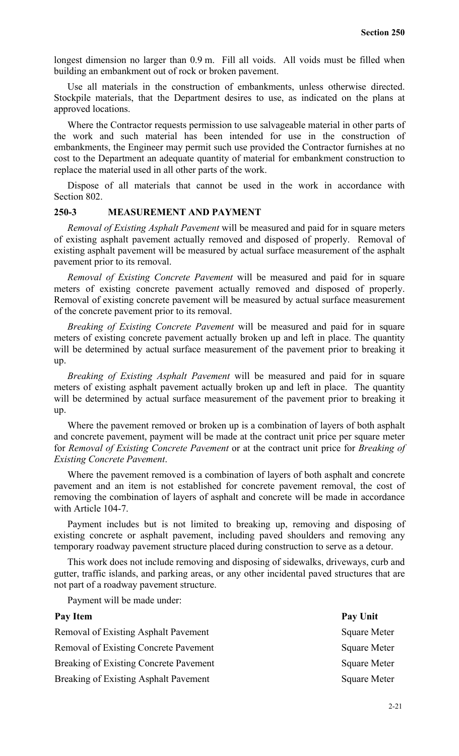longest dimension no larger than  $0.9$  m. Fill all voids. All voids must be filled when building an embankment out of rock or broken pavement.

Use all materials in the construction of embankments, unless otherwise directed. Stockpile materials, that the Department desires to use, as indicated on the plans at approved locations.

Where the Contractor requests permission to use salvageable material in other parts of the work and such material has been intended for use in the construction of embankments, the Engineer may permit such use provided the Contractor furnishes at no cost to the Department an adequate quantity of material for embankment construction to replace the material used in all other parts of the work.

Dispose of all materials that cannot be used in the work in accordance with Section 802.

# **250-3 MEASUREMENT AND PAYMENT**

*Removal of Existing Asphalt Pavement* will be measured and paid for in square meters of existing asphalt pavement actually removed and disposed of properly. Removal of existing asphalt pavement will be measured by actual surface measurement of the asphalt pavement prior to its removal.

*Removal of Existing Concrete Pavement* will be measured and paid for in square meters of existing concrete pavement actually removed and disposed of properly. Removal of existing concrete pavement will be measured by actual surface measurement of the concrete pavement prior to its removal.

*Breaking of Existing Concrete Pavement* will be measured and paid for in square meters of existing concrete pavement actually broken up and left in place. The quantity will be determined by actual surface measurement of the pavement prior to breaking it up.

*Breaking of Existing Asphalt Pavement* will be measured and paid for in square meters of existing asphalt pavement actually broken up and left in place. The quantity will be determined by actual surface measurement of the pavement prior to breaking it up.

Where the pavement removed or broken up is a combination of layers of both asphalt and concrete pavement, payment will be made at the contract unit price per square meter for *Removal of Existing Concrete Pavement* or at the contract unit price for *Breaking of Existing Concrete Pavement*.

Where the pavement removed is a combination of layers of both asphalt and concrete pavement and an item is not established for concrete pavement removal, the cost of removing the combination of layers of asphalt and concrete will be made in accordance with Article 104-7.

Payment includes but is not limited to breaking up, removing and disposing of existing concrete or asphalt pavement, including paved shoulders and removing any temporary roadway pavement structure placed during construction to serve as a detour.

This work does not include removing and disposing of sidewalks, driveways, curb and gutter, traffic islands, and parking areas, or any other incidental paved structures that are not part of a roadway pavement structure.

Payment will be made under:

| Pay Item                               | Pay Unit            |
|----------------------------------------|---------------------|
| Removal of Existing Asphalt Pavement   | <b>Square Meter</b> |
| Removal of Existing Concrete Pavement  | <b>Square Meter</b> |
| Breaking of Existing Concrete Pavement | <b>Square Meter</b> |
| Breaking of Existing Asphalt Pavement  | <b>Square Meter</b> |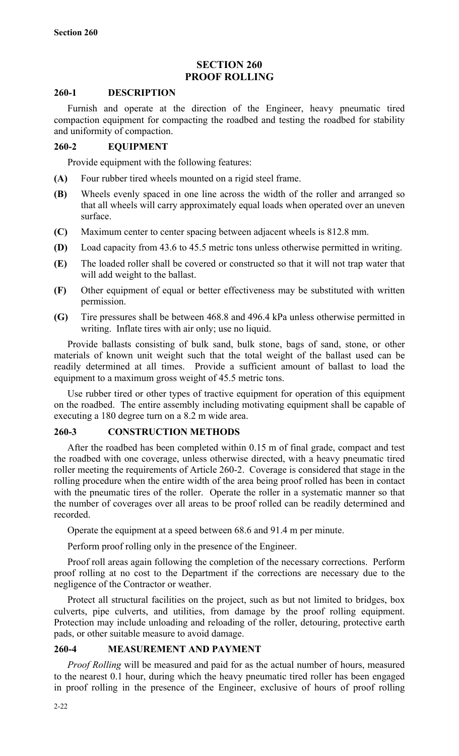# **SECTION 260 PROOF ROLLING**

## **260-1 DESCRIPTION**

Furnish and operate at the direction of the Engineer, heavy pneumatic tired compaction equipment for compacting the roadbed and testing the roadbed for stability and uniformity of compaction.

# **260-2 EQUIPMENT**

Provide equipment with the following features:

- **(A)** Four rubber tired wheels mounted on a rigid steel frame.
- **(B)** Wheels evenly spaced in one line across the width of the roller and arranged so that all wheels will carry approximately equal loads when operated over an uneven surface.
- **(C)** Maximum center to center spacing between adjacent wheels is 812.8 mm.
- **(D)** Load capacity from 43.6 to 45.5 metric tons unless otherwise permitted in writing.
- **(E)** The loaded roller shall be covered or constructed so that it will not trap water that will add weight to the ballast.
- **(F)** Other equipment of equal or better effectiveness may be substituted with written permission.
- **(G)** Tire pressures shall be between 468.8 and 496.4 kPa unless otherwise permitted in writing. Inflate tires with air only; use no liquid.

Provide ballasts consisting of bulk sand, bulk stone, bags of sand, stone, or other materials of known unit weight such that the total weight of the ballast used can be readily determined at all times. Provide a sufficient amount of ballast to load the equipment to a maximum gross weight of 45.5 metric tons.

Use rubber tired or other types of tractive equipment for operation of this equipment on the roadbed. The entire assembly including motivating equipment shall be capable of executing a 180 degree turn on a 8.2 m wide area.

## **260-3 CONSTRUCTION METHODS**

After the roadbed has been completed within 0.15 m of final grade, compact and test the roadbed with one coverage, unless otherwise directed, with a heavy pneumatic tired roller meeting the requirements of Article 260-2. Coverage is considered that stage in the rolling procedure when the entire width of the area being proof rolled has been in contact with the pneumatic tires of the roller. Operate the roller in a systematic manner so that the number of coverages over all areas to be proof rolled can be readily determined and recorded.

Operate the equipment at a speed between 68.6 and 91.4 m per minute.

Perform proof rolling only in the presence of the Engineer.

Proof roll areas again following the completion of the necessary corrections. Perform proof rolling at no cost to the Department if the corrections are necessary due to the negligence of the Contractor or weather.

Protect all structural facilities on the project, such as but not limited to bridges, box culverts, pipe culverts, and utilities, from damage by the proof rolling equipment. Protection may include unloading and reloading of the roller, detouring, protective earth pads, or other suitable measure to avoid damage.

# **260-4 MEASUREMENT AND PAYMENT**

*Proof Rolling* will be measured and paid for as the actual number of hours, measured to the nearest 0.1 hour, during which the heavy pneumatic tired roller has been engaged in proof rolling in the presence of the Engineer, exclusive of hours of proof rolling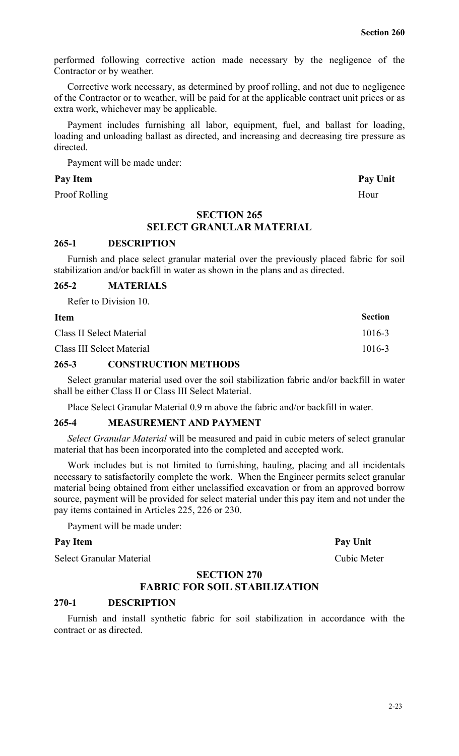performed following corrective action made necessary by the negligence of the Contractor or by weather.

Corrective work necessary, as determined by proof rolling, and not due to negligence of the Contractor or to weather, will be paid for at the applicable contract unit prices or as extra work, whichever may be applicable.

Payment includes furnishing all labor, equipment, fuel, and ballast for loading, loading and unloading ballast as directed, and increasing and decreasing tire pressure as directed.

Payment will be made under:

#### Pay Item **Pay Unit**

Proof Rolling Hour

## **SECTION 265**

# **SELECT GRANULAR MATERIAL**

## **265-1 DESCRIPTION**

Furnish and place select granular material over the previously placed fabric for soil stabilization and/or backfill in water as shown in the plans and as directed.

### **265-2 MATERIALS**

Refer to Division 10.

| <b>Item</b>               | <b>Section</b> |
|---------------------------|----------------|
| Class II Select Material  | $1016 - 3$     |
| Class III Select Material | $1016 - 3$     |

# **265-3 CONSTRUCTION METHODS**

Select granular material used over the soil stabilization fabric and/or backfill in water shall be either Class II or Class III Select Material.

Place Select Granular Material 0.9 m above the fabric and/or backfill in water.

# **265-4 MEASUREMENT AND PAYMENT**

*Select Granular Material* will be measured and paid in cubic meters of select granular material that has been incorporated into the completed and accepted work.

Work includes but is not limited to furnishing, hauling, placing and all incidentals necessary to satisfactorily complete the work. When the Engineer permits select granular material being obtained from either unclassified excavation or from an approved borrow source, payment will be provided for select material under this pay item and not under the pay items contained in Articles 225, 226 or 230.

Payment will be made under:

# Pay Item Pay Unit

Select Granular Material Cubic Meter

## **SECTION 270**

# **FABRIC FOR SOIL STABILIZATION**

# **270-1 DESCRIPTION**

Furnish and install synthetic fabric for soil stabilization in accordance with the contract or as directed.